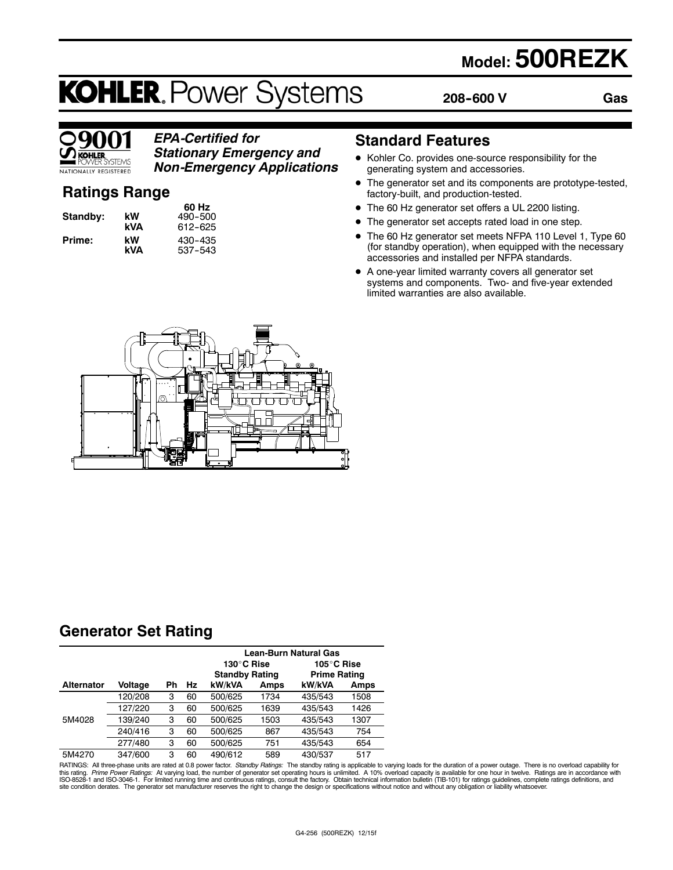## **Model: 500REZK**

# **KOHLER. Power Systems**

**208--600 V**

**Gas**



## *EPA-Certified for Stationary Emergency and*

*Non-Emergency Applications*

## **Ratings Range**

|          |     | 60 HZ   |
|----------|-----|---------|
| Standby: | kW  | 490-500 |
|          | kVA | 612-625 |
| Prime:   | kW  | 430-435 |
|          | kVA | 537-543 |

**60 Hz** 0-500 **kVA** 612--625 0-435

## **Standard Features**

- $\bullet$  Kohler Co. provides one-source responsibility for the generating system and accessories.
- The generator set and its components are prototype-tested, factory-built, and production-tested.
- The 60 Hz generator set offers a UL 2200 listing.
- The generator set accepts rated load in one step.
- The 60 Hz generator set meets NFPA 110 Level 1, Type 60 (for standby operation), when equipped with the necessary accessories and installed per NFPA standards.
- $\bullet$  A one-year limited warranty covers all generator set systems and components. Two- and five-year extended limited warranties are also available.



## **Generator Set Rating**

|                   |         |    |    | Lean-Burn Natural Gas |      |                       |      |
|-------------------|---------|----|----|-----------------------|------|-----------------------|------|
|                   |         |    |    | 130°C Rise            |      | 105 $^{\circ}$ C Rise |      |
|                   |         |    |    | <b>Standby Rating</b> |      | <b>Prime Rating</b>   |      |
| <b>Alternator</b> | Voltage | Ph | Hz | kW/kVA                | Amps | kW/kVA                | Amps |
|                   | 120/208 | 3  | 60 | 500/625               | 1734 | 435/543               | 1508 |
|                   | 127/220 | 3  | 60 | 500/625               | 1639 | 435/543               | 1426 |
| 5M4028            | 139/240 | 3  | 60 | 500/625               | 1503 | 435/543               | 1307 |
|                   | 240/416 | 3  | 60 | 500/625               | 867  | 435/543               | 754  |
|                   | 277/480 | 3  | 60 | 500/625               | 751  | 435/543               | 654  |
| 5M4270            | 347/600 | 3  | 60 | 490/612               | 589  | 430/537               | 517  |

RATINGS: All three-phase units are rated at 0.8 power factor. *Standby Ratings:* The standby rating is applicable to varying loads for the duration of a power outage. There is no overload capability for this rating. *Prime Power Ratings:* At varying load, the number of generator set operating hours is unlimited. A 10% overload capacity is available for one hour in twelve. Ratings are in accordance with<br>ISO-8528-1 and ISOsite condition derates. The generator set manufacturer reserves the right to change the design or specifications without notice and without any obligation or liability whatsoever.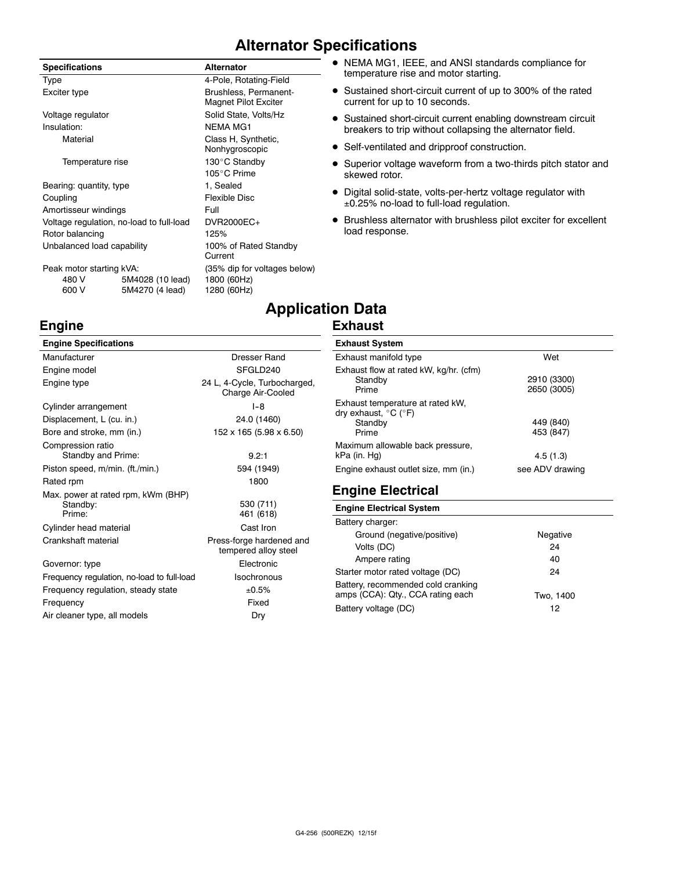## **Alternator Specifications**

| <b>Specifications</b>                    |                  | <b>Alternator</b>                                    |  |
|------------------------------------------|------------------|------------------------------------------------------|--|
| Type                                     |                  | 4-Pole, Rotating-Field                               |  |
| Exciter type                             |                  | Brushless, Permanent-<br><b>Magnet Pilot Exciter</b> |  |
| Voltage regulator                        |                  | Solid State, Volts/Hz                                |  |
| Insulation:                              |                  | <b>NFMA MG1</b>                                      |  |
| Material                                 |                  | Class H, Synthetic,<br>Nonhygroscopic                |  |
| Temperature rise                         |                  | 130°C Standby                                        |  |
|                                          |                  | 105°C Prime                                          |  |
| Bearing: quantity, type                  |                  | 1, Sealed                                            |  |
| Coupling                                 |                  | <b>Flexible Disc</b>                                 |  |
| Amortisseur windings                     |                  | Full                                                 |  |
| Voltage regulation, no-load to full-load |                  | DVR2000EC+                                           |  |
| Rotor balancing                          |                  | 125%                                                 |  |
| Unbalanced load capability               |                  | 100% of Rated Standby<br>Current                     |  |
| Peak motor starting kVA:                 |                  | (35% dip for voltages below)                         |  |
| 480 V                                    | 5M4028 (10 lead) | 1800 (60Hz)                                          |  |
| 600 V                                    | 5M4270 (4 lead)  | 1280 (60Hz)                                          |  |
|                                          |                  | .<br>л.                                              |  |

## **Engine**

**Engine Specifications** Manufacturer **Dresser Rand** Engine model SFGLD240 Engine type **24 L, 4-Cycle, Turbocharged**, Charge Air-Cooled Cylinder arrangement I-8 Displacement, L (cu. in.) 24.0 (1460) Bore and stroke, mm (in.) 152 x 165 (5.98 x 6.50) Compression ratio Standby and Prime: 9.2:1 Piston speed, m/min. (ft./min.) 594 (1949) Rated rpm 1800 Max. power at rated rpm, kWm (BHP) Standby: Prime: 530 (711) 461 (618) Cylinder head material Cylinder head material control cast Iron Crankshaft material **Press-forge hardened and** tempered alloy steel Governor: type Electronic Frequency regulation, no-load to full-load Isochronous Frequency regulation, steady state  $\pm 0.5\%$ Frequency **Fixed** Air cleaner type, all models Dry

- $\bullet$  NEMA MG1, IEEE, and ANSI standards compliance for temperature rise and motor starting.
- Sustained short-circuit current of up to 300% of the rated current for up to 10 seconds.
- Sustained short-circuit current enabling downstream circuit breakers to trip without collapsing the alternator field.
- Self-ventilated and dripproof construction.
- Superior voltage waveform from a two-thirds pitch stator and skewed rotor.
- $\bullet$  Digital solid-state, volts-per-hertz voltage regulator with 0.25% no-load to full-load regulation.
- $\bullet$  Brushless alternator with brushless pilot exciter for excellent load response.

## **Application Data**

## **Exhaust**

| <b>Exhaust System</b>                                                                             |                            |
|---------------------------------------------------------------------------------------------------|----------------------------|
| Exhaust manifold type                                                                             | Wet                        |
| Exhaust flow at rated kW, kg/hr. (cfm)<br>Standby<br>Prime                                        | 2910 (3300)<br>2650 (3005) |
| Exhaust temperature at rated kW,<br>dry exhaust, $^{\circ}$ C ( $^{\circ}$ F)<br>Standby<br>Prime | 449 (840)<br>453 (847)     |
| Maximum allowable back pressure,<br>kPa (in. Hg)                                                  | 4.5(1.3)                   |
| Engine exhaust outlet size, mm (in.)                                                              | see ADV drawing            |

### **Engine Electrical**

## **Engine Electrical System**

| Battery charger:                                                        |           |
|-------------------------------------------------------------------------|-----------|
| Ground (negative/positive)                                              | Negative  |
| Volts (DC)                                                              | 24        |
| Ampere rating                                                           | 40        |
| Starter motor rated voltage (DC)                                        | 24        |
| Battery, recommended cold cranking<br>amps (CCA): Qty., CCA rating each | Two, 1400 |
| Battery voltage (DC)                                                    | 12        |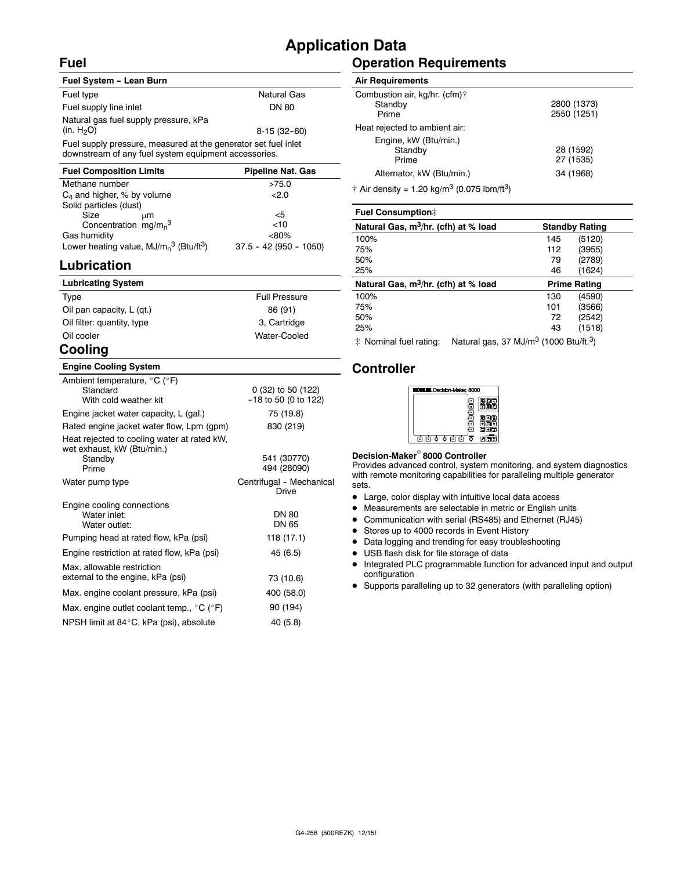## **Application Data**

### **Fuel**

#### **Fuel System - Lean Burn**

| Fuel type                                                      | Natural Gas   |
|----------------------------------------------------------------|---------------|
| Fuel supply line inlet                                         | <b>DN 80</b>  |
| Natural gas fuel supply pressure, kPa                          |               |
| (in. $H_2O$ )                                                  | $8-15(32-60)$ |
| Fuel cupply processe money red at the generator cet fuel inlet |               |

Fuel supply pressure, measured at the generator set fuel inlet downstream of any fuel system equipment accessories.

| <b>Fuel Composition Limits</b>                       | <b>Pipeline Nat. Gas</b> |  |
|------------------------------------------------------|--------------------------|--|
| Methane number                                       | >75.0                    |  |
| $C_4$ and higher, % by volume                        | 2.0                      |  |
| Solid particles (dust)                               |                          |  |
| Size<br>μm                                           | <5                       |  |
| Concentration $mg/mn$ <sup>3</sup>                   | <10                      |  |
| Gas humidity                                         | $< 80\%$                 |  |
| Lower heating value, $MJ/mn3$ (Btu/ft <sup>3</sup> ) | $37.5 - 42 (950 - 1050)$ |  |

## **Lubrication**

| <b>Lubricating System</b>  |                      |
|----------------------------|----------------------|
| Type                       | <b>Full Pressure</b> |
| Oil pan capacity, L (qt.)  | 86 (91)              |
| Oil filter: quantity, type | 3, Cartridge         |
| Oil cooler                 | Water-Cooled         |
|                            |                      |

## **Cooling**

#### **Engine Cooling System**

| Ambient temperature, $^{\circ}$ C ( $^{\circ}$ F)<br>Standard<br>With cold weather kit        | 0 (32) to 50 (122)<br>$-18$ to 50 (0 to 122) |
|-----------------------------------------------------------------------------------------------|----------------------------------------------|
| Engine jacket water capacity, L (gal.)                                                        | 75 (19.8)                                    |
| Rated engine jacket water flow, Lpm (gpm)                                                     | 830 (219)                                    |
| Heat rejected to cooling water at rated kW,<br>wet exhaust, kW (Btu/min.)<br>Standby<br>Prime | 541 (30770)<br>494 (28090)                   |
| Water pump type                                                                               | Centrifugal - Mechanical<br>Drive            |
| Engine cooling connections<br>Water inlet:<br>Water outlet:                                   | <b>DN 80</b><br>DN 65                        |
| Pumping head at rated flow, kPa (psi)                                                         | 118 (17.1)                                   |
| Engine restriction at rated flow, kPa (psi)                                                   | 45 (6.5)                                     |
| Max, allowable restriction<br>external to the engine, kPa (psi)                               | 73 (10.6)                                    |
| Max. engine coolant pressure, kPa (psi)                                                       | 400 (58.0)                                   |
| Max. engine outlet coolant temp., $^{\circ}$ C ( $^{\circ}$ F)                                | 90 (194)                                     |
| NPSH limit at 84°C, kPa (psi), absolute                                                       | 40 (5.8)                                     |

## **Operation Requirements**

#### **Air Requirements**

| Combustion air, kg/hr. (cfm)†<br>Standby<br>Prime | 2800 (1373)<br>2550 (1251) |
|---------------------------------------------------|----------------------------|
| Heat rejected to ambient air:                     |                            |
| Engine, kW (Btu/min.)<br>Standby<br>Prime         | 28 (1592)<br>27 (1535)     |
| Alternator, kW (Btu/min.)                         | 34 (1968)                  |
|                                                   |                            |

 $\dagger$  Air density = 1.20 kg/m<sup>3</sup> (0.075 lbm/ft<sup>3</sup>)

| <b>Fuel Consumption:</b>                         |     |                       |
|--------------------------------------------------|-----|-----------------------|
| Natural Gas, m <sup>3</sup> /hr. (cfh) at % load |     | <b>Standby Rating</b> |
| 100%                                             | 145 | (5120)                |
| 75%                                              | 112 | (3955)                |
| 50%                                              | 79  | (2789)                |
| 25%                                              | 46  | (1624)                |
| Natural Gas, m <sup>3</sup> /hr. (cfh) at % load |     | <b>Prime Rating</b>   |
| 100%                                             | 130 | (4590)                |
| 75%                                              | 101 | (3566)                |
| 50%                                              | 72  | (2542)                |
| 25%                                              | 43  | (1518)                |
|                                                  |     |                       |

 $\ddot{\text{*}}$  Nominal fuel rating: Natural gas, 37 MJ/m<sup>3</sup> (1000 Btu/ft.<sup>3</sup>)

### **Controller**



#### **Decision-Maker<sup>®</sup> 8000 Controller**

Provides advanced control, system monitoring, and system diagnostics with remote monitoring capabilities for paralleling multiple generator sets.

- Large, color display with intuitive local data access
- $\bullet$  Measurements are selectable in metric or English units
- Communication with serial (RS485) and Ethernet (RJ45)
- Stores up to 4000 records in Event History
- Data logging and trending for easy troubleshooting
- USB flash disk for file storage of data
- $\bullet$  Integrated PLC programmable function for advanced input and output configuration
- D Supports paralleling up to 32 generators (with paralleling option)